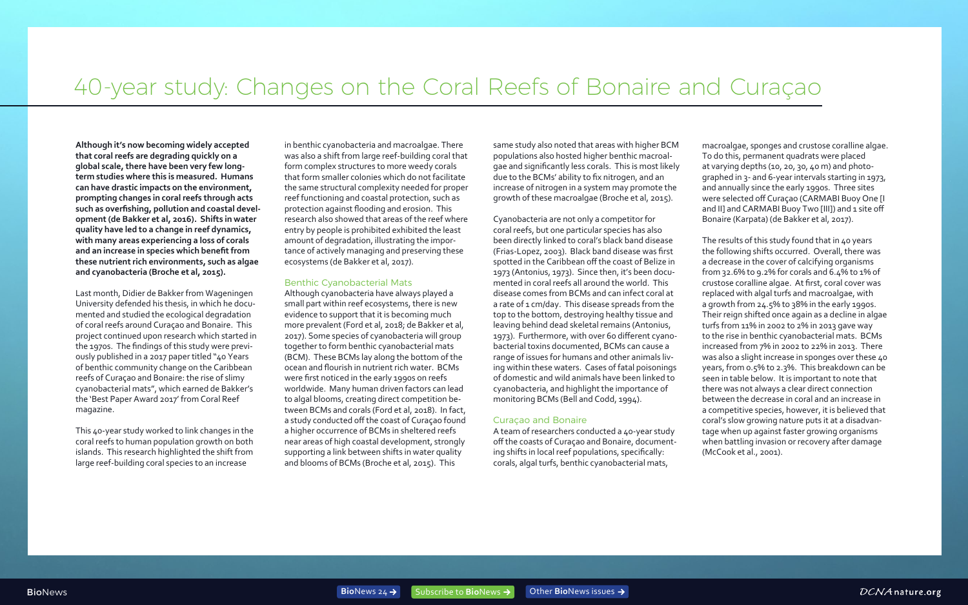**Although it's now becoming widely accepted that coral reefs are degrading quickly on a global scale, there have been very few longterm studies where this is measured. Humans can have drastic impacts on the environment, prompting changes in coral reefs through acts such as overfishing, pollution and coastal development (de Bakker et al, 2016). Shifts in water quality have led to a change in reef dynamics, with many areas experiencing a loss of corals and an increase in species which benefit from these nutrient rich environments, such as algae and cyanobacteria (Broche et al, 2015).** 

Last month, Didier de Bakker from Wageningen University defended his thesis, in which he documented and studied the ecological degradation of coral reefs around Curaçao and Bonaire. This project continued upon research which started in the 1970s. The findings of this study were previously published in a 2017 paper titled "40 Years of benthic community change on the Caribbean reefs of Curaçao and Bonaire: the rise of slimy cyanobacterial mats", which earned de Bakker's the 'Best Paper Award 2017' from Coral Reef magazine.

This 40-year study worked to link changes in the coral reefs to human population growth on both islands. This research highlighted the shift from large reef-building coral species to an increase

in benthic cyanobacteria and macroalgae. There was also a shift from large reef-building coral that form complex structures to more weedy corals that form smaller colonies which do not facilitate the same structural complexity needed for proper reef functioning and coastal protection, such as protection against flooding and erosion. This research also showed that areas of the reef where entry by people is prohibited exhibited the least amount of degradation, illustrating the importance of actively managing and preserving these ecosystems (de Bakker et al, 2017).

#### Benthic Cyanobacterial Mats

Although cyanobacteria have always played a small part within reef ecosystems, there is new evidence to support that it is becoming much more prevalent (Ford et al, 2018; de Bakker et al, 2017). Some species of cyanobacteria will group together to form benthic cyanobacterial mats (BCM). These BCMs lay along the bottom of the ocean and flourish in nutrient rich water. BCMs were first noticed in the early 1990s on reefs worldwide. Many human driven factors can lead to algal blooms, creating direct competition between BCMs and corals (Ford et al, 2018). In fact, a study conducted off the coast of Curaçao found a higher occurrence of BCMs in sheltered reefs near areas of high coastal development, strongly supporting a link between shifts in water quality and blooms of BCMs (Broche et al, 2015). This

same study also noted that areas with higher BCM populations also hosted higher benthic macroalgae and significantly less corals. This is most likely due to the BCMs' ability to fix nitrogen, and an increase of nitrogen in a system may promote the growth of these macroalgae (Broche et al, 2015).

Cyanobacteria are not only a competitor for coral reefs, but one particular species has also been directly linked to coral's black band disease (Frias-Lopez, 2003). Black band disease was first spotted in the Caribbean off the coast of Belize in 1973 (Antonius, 1973). Since then, it's been documented in coral reefs all around the world. This disease comes from BCMs and can infect coral at a rate of 1 cm/day. This disease spreads from the top to the bottom, destroying healthy tissue and leaving behind dead skeletal remains (Antonius, 1973). Furthermore, with over 60 different cyanobacterial toxins documented, BCMs can cause a range of issues for humans and other animals living within these waters. Cases of fatal poisonings of domestic and wild animals have been linked to cyanobacteria, and highlight the importance of monitoring BCMs (Bell and Codd, 1994).

#### Curaçao and Bonaire

A team of researchers conducted a 40-year study off the coasts of Curaçao and Bonaire, documenting shifts in local reef populations, specifically: corals, algal turfs, benthic cyanobacterial mats,

macroalgae, sponges and crustose coralline algae. To do this, permanent quadrats were placed at varying depths (10, 20, 30, 40 m) and photographed in 3- and 6-year intervals starting in 1973, and annually since the early 1990s. Three sites were selected off Curaçao (CARMABI Buoy One [I and II] and CARMABI Buoy Two [III]) and 1 site off Bonaire (Karpata) (de Bakker et al, 2017).

The results of this study found that in 40 years the following shifts occurred. Overall, there was a decrease in the cover of calcifying organisms from 32.6% to 9.2% for corals and 6.4% to 1% of crustose coralline algae. At first, coral cover was replaced with algal turfs and macroalgae, with a growth from 24.5% to 38% in the early 1990s. Their reign shifted once again as a decline in algae turfs from 11% in 2002 to 2% in 2013 gave way to the rise in benthic cyanobacterial mats. BCMs increased from 7% in 2002 to 22% in 2013. There was also a slight increase in sponges over these 40 years, from 0.5% to 2.3%. This breakdown can be seen in table below. It is important to note that there was not always a clear direct connection between the decrease in coral and an increase in a competitive species, however, it is believed that coral's slow growing nature puts it at a disadvantage when up against faster growing organisms when battling invasion or recovery after damage (McCook et al., 2001).



# 40-year study: Changes on the Coral Reefs of Bonaire and Curaçao